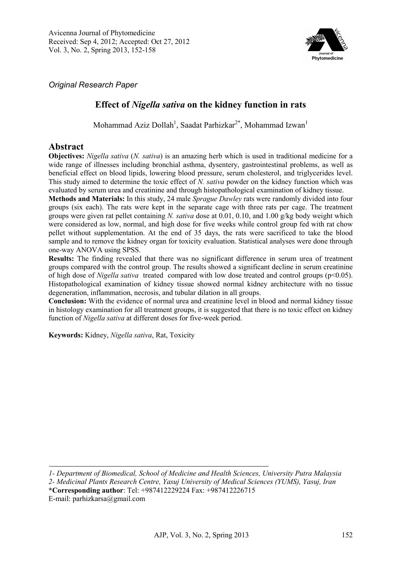

*Original Research Paper* 

## **Effect of** *Nigella sativa* **on the kidney function in rats**

Mohammad Aziz Dollah<sup>1</sup>, Saadat Parhizkar<sup>2\*</sup>, Mohammad Izwan<sup>1</sup>

## **Abstract**

**Objectives:** *Nigella sativa* (*N. sativa*) is an amazing herb which is used in traditional medicine for a wide range of illnesses including bronchial asthma, dysentery, gastrointestinal problems, as well as beneficial effect on blood lipids, lowering blood pressure, serum cholesterol, and triglycerides level. This study aimed to determine the toxic effect of *N. sativa* powder on the kidney function which was evaluated by serum urea and creatinine and through histopathological examination of kidney tissue.

**Methods and Materials:** In this study, 24 male *Sprague Dawley* rats were randomly divided into four groups (six each). The rats were kept in the separate cage with three rats per cage. The treatment groups were given rat pellet containing *N. sativa* dose at 0.01, 0.10, and 1.00 g/kg body weight which were considered as low, normal, and high dose for five weeks while control group fed with rat chow pellet without supplementation. At the end of 35 days, the rats were sacrificed to take the blood sample and to remove the kidney organ for toxicity evaluation. Statistical analyses were done through one-way ANOVA using SPSS.

**Results:** The finding revealed that there was no significant difference in serum urea of treatment groups compared with the control group. The results showed a significant decline in serum creatinine of high dose of *Nigella sativa* treated compared with low dose treated and control groups (p<0.05). Histopathological examination of kidney tissue showed normal kidney architecture with no tissue degeneration, inflammation, necrosis, and tubular dilation in all groups.

**Conclusion:** With the evidence of normal urea and creatinine level in blood and normal kidney tissue in histology examination for all treatment groups, it is suggested that there is no toxic effect on kidney function of *Nigella sativa* at different doses for five-week period.

**Keywords:** Kidney, *Nigella sativa*, Rat, Toxicity

*1- Department of Biomedical, School of Medicine and Health Sciences, University Putra Malaysia 2- Medicinal Plants Research Centre, Yasuj University of Medical Sciences (YUMS), Yasuj, Iran* **\*Corresponding author**: Tel: +987412229224 Fax: +987412226715

E-mail: parhizkarsa@gmail.com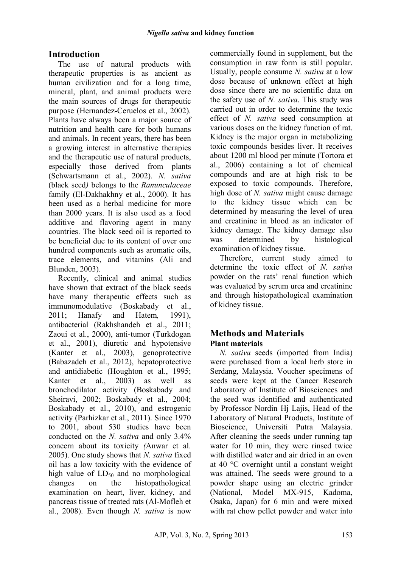# **Introduction**

The use of natural products with therapeutic properties is as ancient as human civilization and for a long time, mineral, plant, and animal products were the main sources of drugs for therapeutic purpose (Hernandez-Ceruelos et al., 2002). Plants have always been a major source of nutrition and health care for both humans and animals. In recent years, there has been a growing interest in alternative therapies and the therapeutic use of natural products, especially those derived from plants (Schwartsmann et al., 2002). *N. sativa*  (black seed*)* belongs to the *Ranunculaceae*  family (El-Dakhakhny et al., 2000). It has been used as a herbal medicine for more than 2000 years. It is also used as a food additive and flavoring agent in many countries. The black seed oil is reported to be beneficial due to its content of over one hundred components such as aromatic oils, trace elements, and vitamins (Ali and Blunden, 2003).

Recently, clinical and animal studies have shown that extract of the black seeds have many therapeutic effects such as immunomodulative (Boskabady et al., 2011; Hanafy and Hatem*,* 1991), antibacterial (Rakhshandeh et al., 2011; Zaoui et al., 2000), anti-tumor (Turkdogan et al., 2001), diuretic and hypotensive (Kanter et al., 2003), genoprotective (Babazadeh et al., 2012), hepatoprotective and antidiabetic (Houghton et al., 1995; Kanter et al., 2003) as well as bronchodilator activity (Boskabady and Sheiravi, 2002; Boskabady et al., 2004; Boskabady et al., 2010), and estrogenic activity (Parhizkar et al., 2011). Since 1970 to 2001, about 530 studies have been conducted on the *N. sativa* and only 3.4% concern about its toxicity *(*Anwar et al. 2005). One study shows that *N. sativa* fixed oil has a low toxicity with the evidence of high value of  $LD_{50}$  and no morphological<br>changes on the histonathological changes on the histopathological examination on heart, liver, kidney, and pancreas tissue of treated rats (Al-Mofleh et al., 2008). Even though *N. sativa* is now commercially found in supplement, but the consumption in raw form is still popular. Usually, people consume *N. sativa* at a low dose because of unknown effect at high dose since there are no scientific data on the safety use of *N. sativa*. This study was carried out in order to determine the toxic effect of *N. sativa* seed consumption at various doses on the kidney function of rat. Kidney is the major organ in metabolizing toxic compounds besides liver. It receives about 1200 ml blood per minute (Tortora et al., 2006) containing a lot of chemical compounds and are at high risk to be exposed to toxic compounds. Therefore, high dose of *N. sativa* might cause damage to the kidney tissue which can be determined by measuring the level of urea and creatinine in blood as an indicator of kidney damage. The kidney damage also was determined by histological examination of kidney tissue.

Therefore, current study aimed to determine the toxic effect of *N. sativa*  powder on the rats' renal function which was evaluated by serum urea and creatinine and through histopathological examination of kidney tissue.

## **Methods and Materials Plant materials**

*N. sativa* seeds (imported from India) were purchased from a local herb store in Serdang, Malaysia. Voucher specimens of seeds were kept at the Cancer Research Laboratory of Institute of Biosciences and the seed was identified and authenticated by Professor Nordin Hj Lajis, Head of the Laboratory of Natural Products, Institute of Bioscience, Universiti Putra Malaysia. After cleaning the seeds under running tap water for 10 min, they were rinsed twice with distilled water and air dried in an oven at 40 °C overnight until a constant weight was attained. The seeds were ground to a powder shape using an electric grinder (National, Model MX-915, Kadoma, Osaka, Japan) for 6 min and were mixed with rat chow pellet powder and water into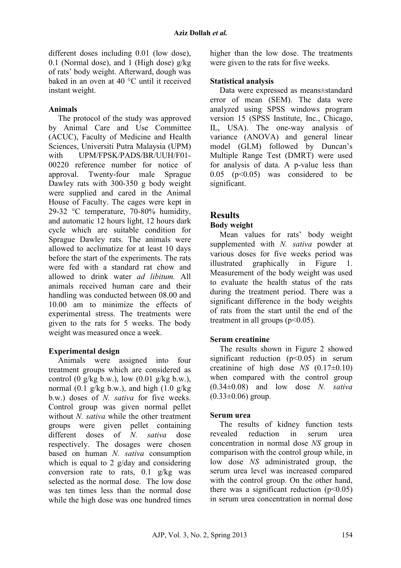different doses including 0.01 (low dose), 0.1 (Normal dose), and 1 (High dose)  $g/kg$ of rats' body weight. Afterward, dough was baked in an oven at 40 °C until it received instant weight.

#### **Animals**

The protocol of the study was approved by Animal Care and Use Committee (ACUC), Faculty of Medicine and Health Sciences, Universiti Putra Malaysia (UPM) with UPM/FPSK/PADS/BR/UUH/F01- 00220 reference number for notice of approval. Twenty-four male Sprague Dawley rats with 300-350 g body weight were supplied and cared in the Animal House of Faculty. The cages were kept in 29-32 °C temperature, 70-80% humidity, and automatic 12 hours light, 12 hours dark cycle which are suitable condition for Sprague Dawley rats. The animals were allowed to acclimatize for at least 10 days before the start of the experiments. The rats were fed with a standard rat chow and allowed to drink water *ad libitum.* All animals received human care and their handling was conducted between 08.00 and 10.00 am to minimize the effects of experimental stress. The treatments were given to the rats for 5 weeks. The body weight was measured once a week.

#### **Experimental design**

Animals were assigned into four treatment groups which are considered as control (0 g/kg b.w.), low  $(0.01 \text{ g/kg b.w.})$ , normal  $(0.1 \text{ g/kg b.w.})$ , and high  $(1.0 \text{ g/kg})$ b.w.) doses of *N. sativa* for five weeks. Control group was given normal pellet without *N. sativa* while the other treatment groups were given pellet containing different doses of *N. sativa* dose respectively. The dosages were chosen based on human *N. sativa* consumption which is equal to 2 g/day and considering conversion rate to rats, 0.1 g/kg was selected as the normal dose. The low dose was ten times less than the normal dose while the high dose was one hundred times

higher than the low dose. The treatments were given to the rats for five weeks.

#### **Statistical analysis**

Data were expressed as means±standard error of mean (SEM). The data were analyzed using SPSS windows program version 15 (SPSS Institute, Inc., Chicago, IL, USA). The one-way analysis of variance (ANOVA) and general linear model (GLM) followed by Duncan's Multiple Range Test (DMRT) were used for analysis of data. A p-value less than  $0.05$  ( $p<0.05$ ) was considered to be significant.

## **Results**

#### **Body weight**

Mean values for rats' body weight supplemented with *N. sativa* powder at various doses for five weeks period was illustrated graphically in Figure 1. Measurement of the body weight was used to evaluate the health status of the rats during the treatment period. There was a significant difference in the body weights of rats from the start until the end of the treatment in all groups  $(p<0.05)$ .

#### **Serum creatinine**

The results shown in Figure 2 showed significant reduction  $(p<0.05)$  in serum creatinine of high dose *NS* (0.17±0.10) when compared with the control group (0.34±0.08) and low dose *N. sativa*   $(0.33\pm0.06)$  group.

#### **Serum urea**

The results of kidney function tests revealed reduction in serum urea concentration in normal dose *NS* group in comparison with the control group while, in low dose *NS* administrated group, the serum urea level was increased compared with the control group. On the other hand, there was a significant reduction  $(p<0.05)$ in serum urea concentration in normal dose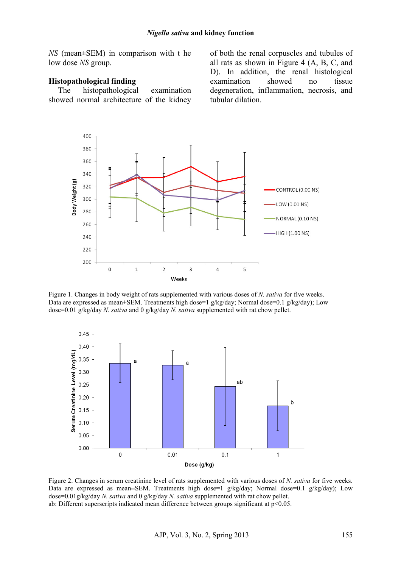*NS* (mean±SEM) in comparison with t he low dose *NS* group.

#### **Histopathological finding**

The histopathological examination showed normal architecture of the kidney of both the renal corpuscles and tubules of all rats as shown in Figure 4 (A, B, C, and D). In addition, the renal histological examination showed no tissue degeneration, inflammation, necrosis, and tubular dilation.



Figure 1. Changes in body weight of rats supplemented with various doses of *N. sativa* for five weeks. Data are expressed as mean±SEM. Treatments high dose=1 g/kg/day; Normal dose=0.1 g/kg/day); Low dose=0.01 g/kg/day *N. sativa* and 0 g/kg/day *N. sativa* supplemented with rat chow pellet.



Figure 2. Changes in serum creatinine level of rats supplemented with various doses of *N. sativa* for five weeks. Data are expressed as mean±SEM. Treatments high dose=1 g/kg/day; Normal dose=0.1 g/kg/day); Low dose=0.01g/kg/day *N. sativa* and 0 g/kg/day *N. sativa* supplemented with rat chow pellet. ab: Different superscripts indicated mean difference between groups significant at p<0.05.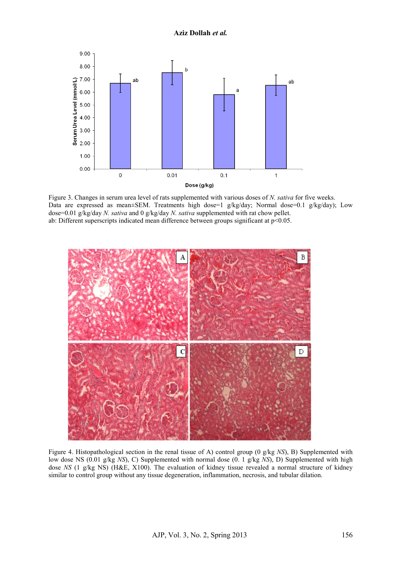

Figure 3. Changes in serum urea level of rats supplemented with various doses of *N. sativa* for five weeks. Data are expressed as mean±SEM. Treatments high dose=1 g/kg/day; Normal dose=0.1 g/kg/day); Low dose=0.01 g/kg/day *N. sativa* and 0 g/kg/day *N. sativa* supplemented with rat chow pellet. ab: Different superscripts indicated mean difference between groups significant at  $p<0.05$ .



Figure 4. Histopathological section in the renal tissue of A) control group (0 g/kg *NS*), B) Supplemented with low dose NS (0.01 g/kg *NS*), C) Supplemented with normal dose (0. 1 g/kg *NS*), D) Supplemented with high dose *NS* (1 g/kg NS) (H&E, X100). The evaluation of kidney tissue revealed a normal structure of kidney similar to control group without any tissue degeneration, inflammation, necrosis, and tubular dilation.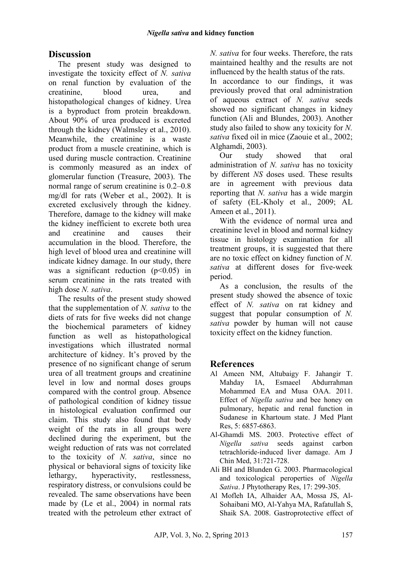## **Discussion**

The present study was designed to investigate the toxicity effect of *N. sativa*  on renal function by evaluation of the creatinine, blood urea, and histopathological changes of kidney. Urea is a byproduct from protein breakdown. About 90% of urea produced is excreted through the kidney (Walmsley et al., 2010). Meanwhile, the creatinine is a waste product from a muscle creatinine, which is used during muscle contraction. Creatinine is commonly measured as an index of glomerular function (Treasure, 2003). The normal range of serum creatinine is 0.2–0.8 mg/dl for rats (Weber et al., 2002). It is excreted exclusively through the kidney. Therefore, damage to the kidney will make the kidney inefficient to excrete both urea and creatinine and causes their accumulation in the blood. Therefore, the high level of blood urea and creatinine will indicate kidney damage. In our study, there was a significant reduction  $(p<0.05)$  in serum creatinine in the rats treated with high dose *N. sativa*.

The results of the present study showed that the supplementation of *N. sativa* to the diets of rats for five weeks did not change the biochemical parameters of kidney function as well as histopathological investigations which illustrated normal architecture of kidney. It's proved by the presence of no significant change of serum urea of all treatment groups and creatinine level in low and normal doses groups compared with the control group. Absence of pathological condition of kidney tissue in histological evaluation confirmed our claim. This study also found that body weight of the rats in all groups were declined during the experiment, but the weight reduction of rats was not correlated to the toxicity of *N. sativa*, since no physical or behavioral signs of toxicity like lethargy, hyperactivity, restlessness, respiratory distress, or convulsions could be revealed. The same observations have been made by (Le et al., 2004) in normal rats treated with the petroleum ether extract of *N. sativa* for four weeks. Therefore, the rats maintained healthy and the results are not influenced by the health status of the rats.

In accordance to our findings, it was previously proved that oral administration of aqueous extract of *N. sativa* seeds showed no significant changes in kidney function (Ali and Blundes, 2003). Another study also failed to show any toxicity for *N. sativa* fixed oil in mice (Zaouie et al., 2002; Alghamdi, 2003).

Our study showed that oral administration of *N. sativa* has no toxicity by different *NS* doses used. These results are in agreement with previous data reporting that *N. sativa* has a wide margin of safety (EL-Kholy et al., 2009; AL Ameen et al., 2011).

With the evidence of normal urea and creatinine level in blood and normal kidney tissue in histology examination for all treatment groups, it is suggested that there are no toxic effect on kidney function of *N. sativa* at different doses for five-week period.

As a conclusion, the results of the present study showed the absence of toxic effect of *N. sativa* on rat kidney and suggest that popular consumption of *N. sativa* powder by human will not cause toxicity effect on the kidney function.

## **References**

- Al Ameen NM, Altubaigy F. Jahangir T. Mahday IA, Esmaeel Abdurrahman Mohammed EA and Musa OAA. 2011. Effect of *Nigella sativa* and bee honey on pulmonary, hepatic and renal function in Sudanese in Khartoum state. J Med Plant Res, 5: 6857-6863.
- Al-Ghamdi MS. 2003. Protective effect of *Nigella sativa* seeds against carbon tetrachloride-induced liver damage. Am J Chin Med, 31:721-728.
- Ali BH and Blunden G. 2003. Pharmacological and toxicological peroperties of *Nigella Sativa*. J Phytotherapy Res, 17: 299-305.
- Al Mofleh IA, Alhaider AA, Mossa JS, Al-Sohaibani MO, Al-Yahya MA, Rafatullah S, Shaik SA. 2008. Gastroprotective effect of